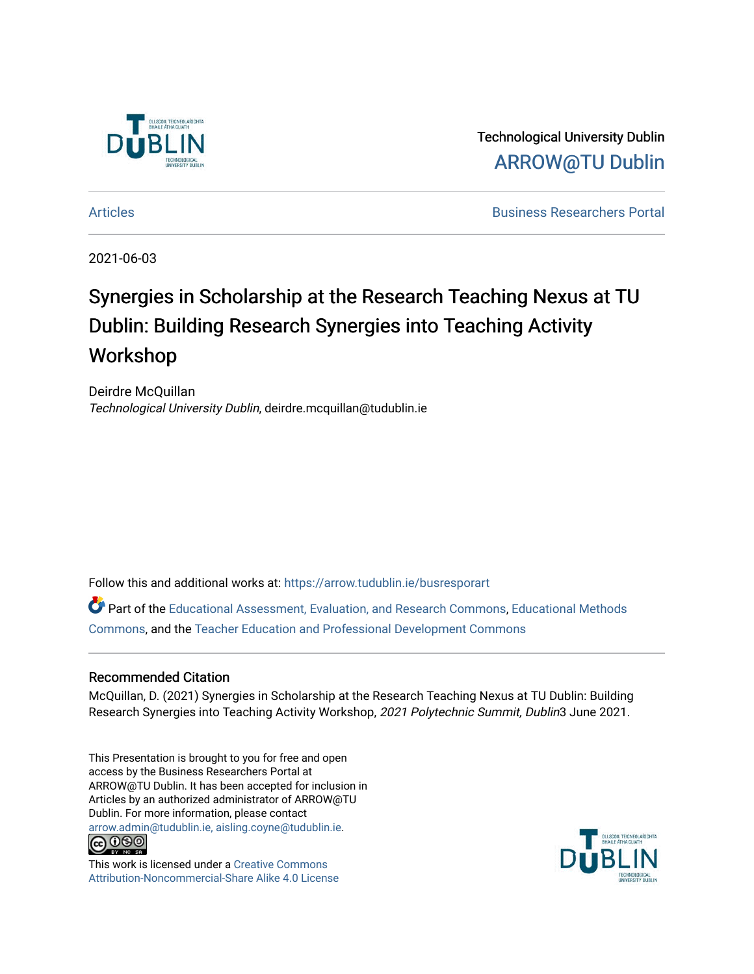

Technological University Dublin [ARROW@TU Dublin](https://arrow.tudublin.ie/) 

[Articles](https://arrow.tudublin.ie/busresporart) [Business Researchers Portal](https://arrow.tudublin.ie/busrespor) 

2021-06-03

#### Synergies in Scholarship at the Research Teaching Nexus at TU Dublin: Building Research Synergies into Teaching Activity Workshop

Deirdre McQuillan Technological University Dublin, deirdre.mcquillan@tudublin.ie

Follow this and additional works at: [https://arrow.tudublin.ie/busresporart](https://arrow.tudublin.ie/busresporart?utm_source=arrow.tudublin.ie%2Fbusresporart%2F1&utm_medium=PDF&utm_campaign=PDFCoverPages) 

Part of the [Educational Assessment, Evaluation, and Research Commons](http://network.bepress.com/hgg/discipline/796?utm_source=arrow.tudublin.ie%2Fbusresporart%2F1&utm_medium=PDF&utm_campaign=PDFCoverPages), [Educational Methods](http://network.bepress.com/hgg/discipline/1227?utm_source=arrow.tudublin.ie%2Fbusresporart%2F1&utm_medium=PDF&utm_campaign=PDFCoverPages)  [Commons](http://network.bepress.com/hgg/discipline/1227?utm_source=arrow.tudublin.ie%2Fbusresporart%2F1&utm_medium=PDF&utm_campaign=PDFCoverPages), and the [Teacher Education and Professional Development Commons](http://network.bepress.com/hgg/discipline/803?utm_source=arrow.tudublin.ie%2Fbusresporart%2F1&utm_medium=PDF&utm_campaign=PDFCoverPages)

#### Recommended Citation

McQuillan, D. (2021) Synergies in Scholarship at the Research Teaching Nexus at TU Dublin: Building Research Synergies into Teaching Activity Workshop, 2021 Polytechnic Summit, Dublin3 June 2021.

This Presentation is brought to you for free and open access by the Business Researchers Portal at ARROW@TU Dublin. It has been accepted for inclusion in Articles by an authorized administrator of ARROW@TU Dublin. For more information, please contact [arrow.admin@tudublin.ie, aisling.coyne@tudublin.ie](mailto:arrow.admin@tudublin.ie,%20aisling.coyne@tudublin.ie).



This work is licensed under a [Creative Commons](http://creativecommons.org/licenses/by-nc-sa/4.0/) [Attribution-Noncommercial-Share Alike 4.0 License](http://creativecommons.org/licenses/by-nc-sa/4.0/)

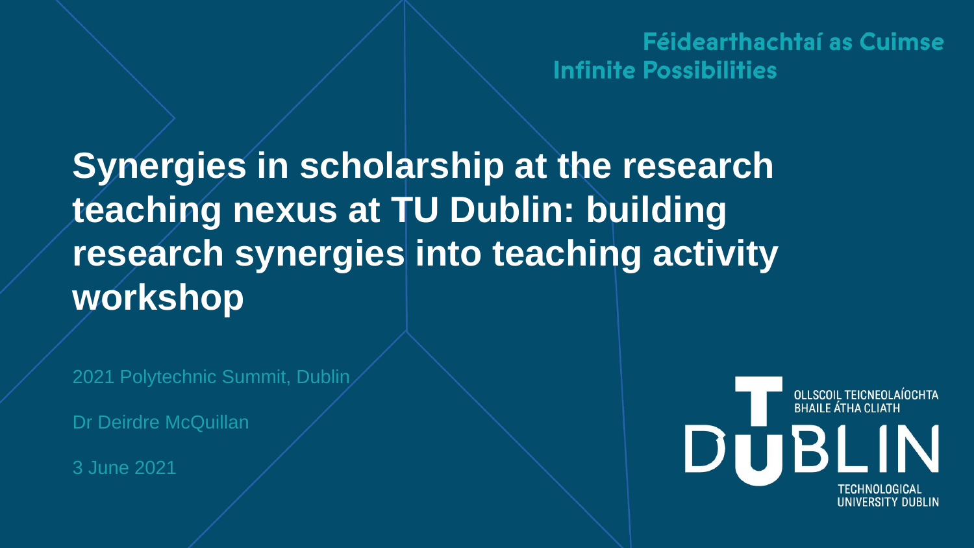Féidearthachtaí as Cuimse **Infinite Possibilities** 

**Synergies in scholarship at the research teaching nexus at TU Dublin: building research synergies into teaching activity workshop**

2021 Polytechnic Summit, Dublin

Dr Deirdre McQuillan

3 June 2021

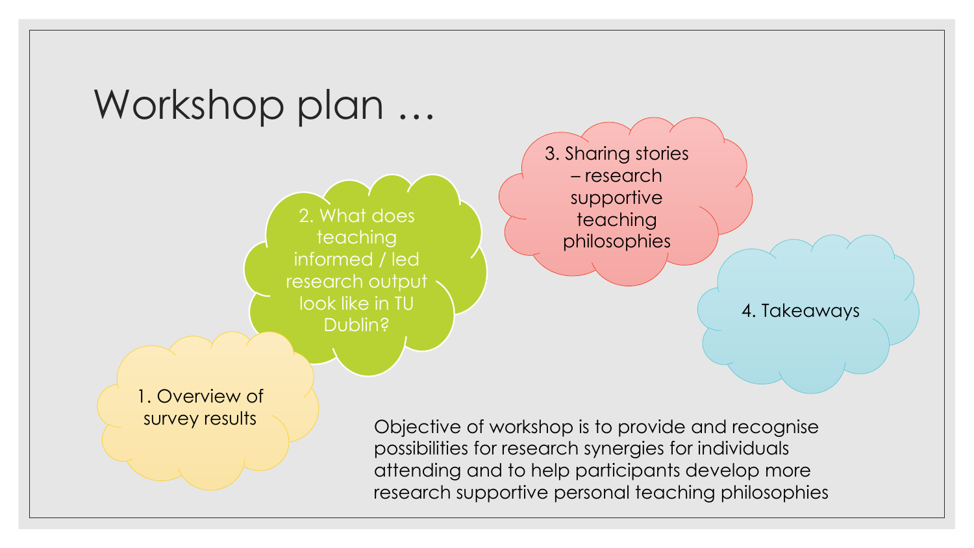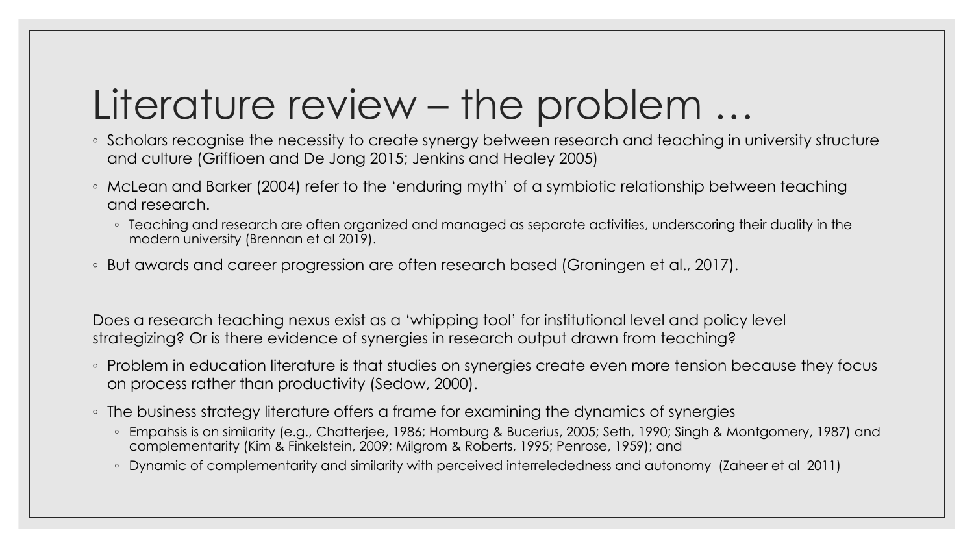#### Literature review – the problem …

- Scholars recognise the necessity to create synergy between research and teaching in university structure and culture (Griffioen and De Jong 2015; Jenkins and Healey 2005)
- McLean and Barker (2004) refer to the 'enduring myth' of a symbiotic relationship between teaching and research.
	- Teaching and research are often organized and managed as separate activities, underscoring their duality in the modern university (Brennan et al 2019).
- But awards and career progression are often research based (Groningen et al., 2017).

Does a research teaching nexus exist as a 'whipping tool' for institutional level and policy level strategizing? Or is there evidence of synergies in research output drawn from teaching?

- Problem in education literature is that studies on synergies create even more tension because they focus on process rather than productivity (Sedow, 2000).
- The business strategy literature offers a frame for examining the dynamics of synergies
	- Empahsis is on similarity (e.g., Chatterjee, 1986; Homburg & Bucerius, 2005; Seth, 1990; Singh & Montgomery, 1987) and complementarity (Kim & Finkelstein, 2009; Milgrom & Roberts, 1995; Penrose, 1959); and
	- Dynamic of complementarity and similarity with perceived interrelededness and autonomy (Zaheer et al 2011)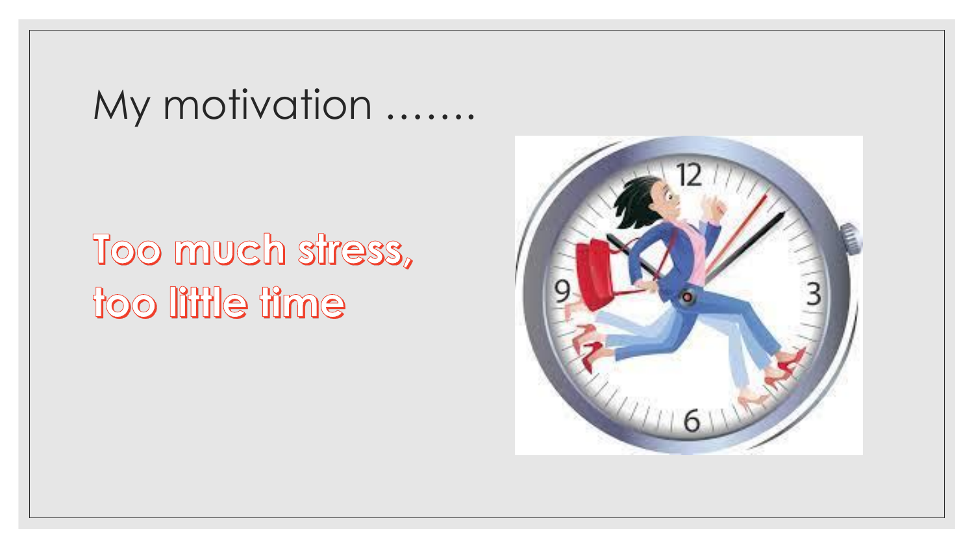#### My motivation .......

## Too much stress, too little time

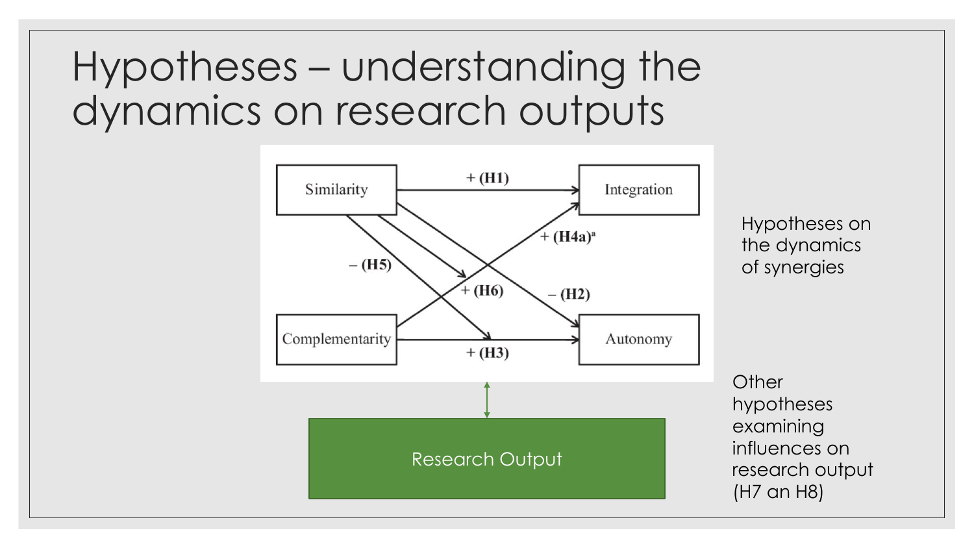#### Hypotheses – understanding the dynamics on research outputs

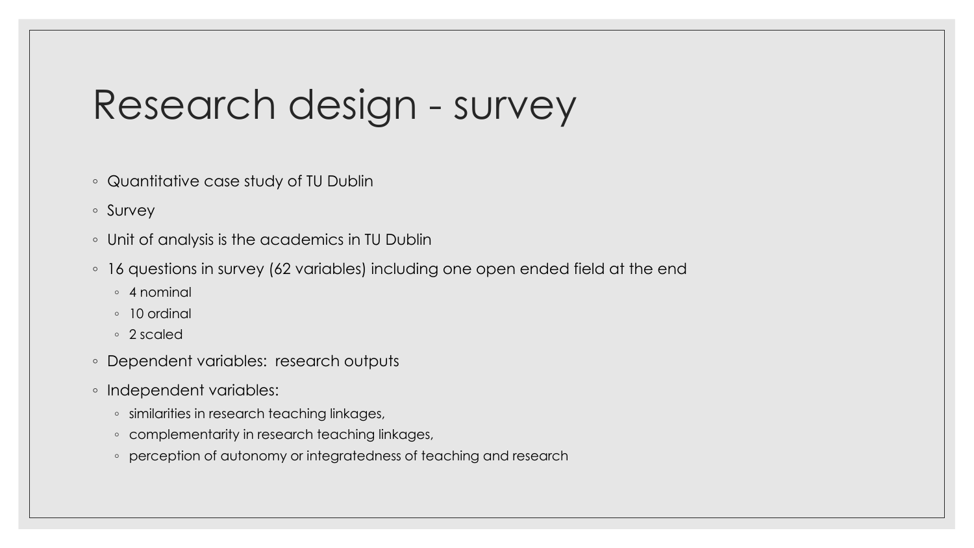#### Research design - survey

- Quantitative case study of TU Dublin
- Survey
- Unit of analysis is the academics in TU Dublin
- 16 questions in survey (62 variables) including one open ended field at the end
	- 4 nominal
	- 10 ordinal
	- 2 scaled
- Dependent variables: research outputs
- Independent variables:
	- similarities in research teaching linkages,
	- complementarity in research teaching linkages,
	- perception of autonomy or integratedness of teaching and research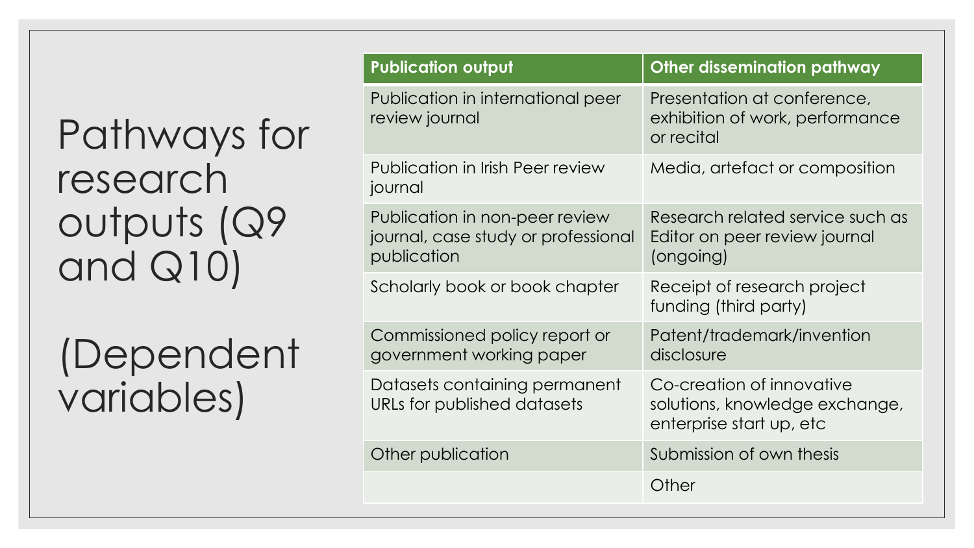### Pathways for research outputs (Q9 and Q10)

(Dependent variables)

| <b>Publication output</b>                                                            | <b>Other dissemination pathway</b>                                                      |
|--------------------------------------------------------------------------------------|-----------------------------------------------------------------------------------------|
| Publication in international peer<br>review journal                                  | Presentation at conference,<br>exhibition of work, performance<br>or recital            |
| Publication in Irish Peer review<br>journal                                          | Media, artefact or composition                                                          |
| Publication in non-peer review<br>journal, case study or professional<br>publication | Research related service such as<br>Editor on peer review journal<br>(ongoing)          |
| Scholarly book or book chapter                                                       | Receipt of research project<br>funding (third party)                                    |
| Commissioned policy report or<br>government working paper                            | Patent/trademark/invention<br>disclosure                                                |
| Datasets containing permanent<br>URLs for published datasets                         | Co-creation of innovative<br>solutions, knowledge exchange,<br>enterprise start up, etc |
| Other publication                                                                    | Submission of own thesis                                                                |
|                                                                                      | Other                                                                                   |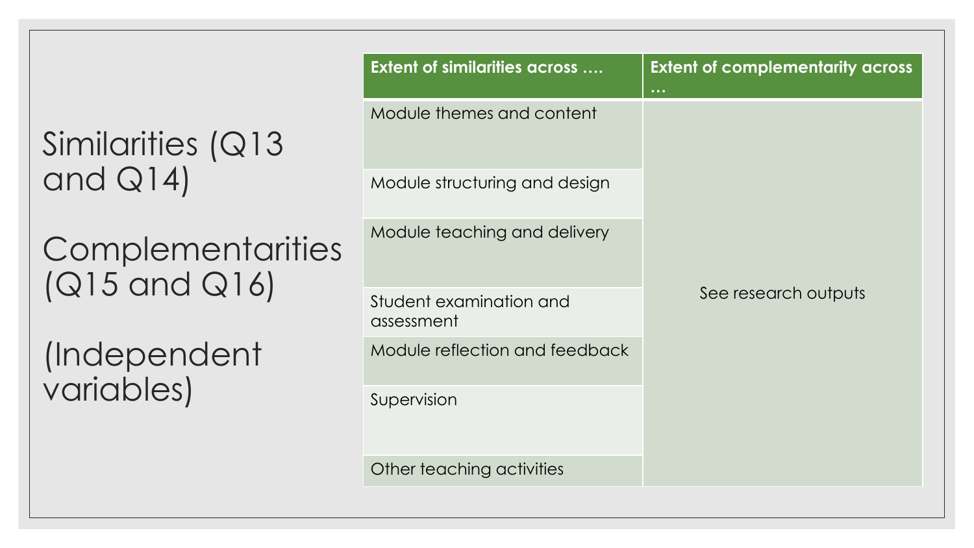#### Similarities (Q13 and Q14)

**Complementarities** (Q15 and Q16)

(Independent variables)

| <b>Extent of similarities across </b> | <b>Extent of complementarity across</b><br>$\ddot{\bullet}$ $\ddot{\bullet}$ $\ddot{\bullet}$ |  |  |
|---------------------------------------|-----------------------------------------------------------------------------------------------|--|--|
| Module themes and content             |                                                                                               |  |  |
| Module structuring and design         |                                                                                               |  |  |
| Module teaching and delivery          | See research outputs                                                                          |  |  |
| Student examination and<br>assessment |                                                                                               |  |  |
| Module reflection and feedback        |                                                                                               |  |  |
| Supervision                           |                                                                                               |  |  |
| Other teaching activities             |                                                                                               |  |  |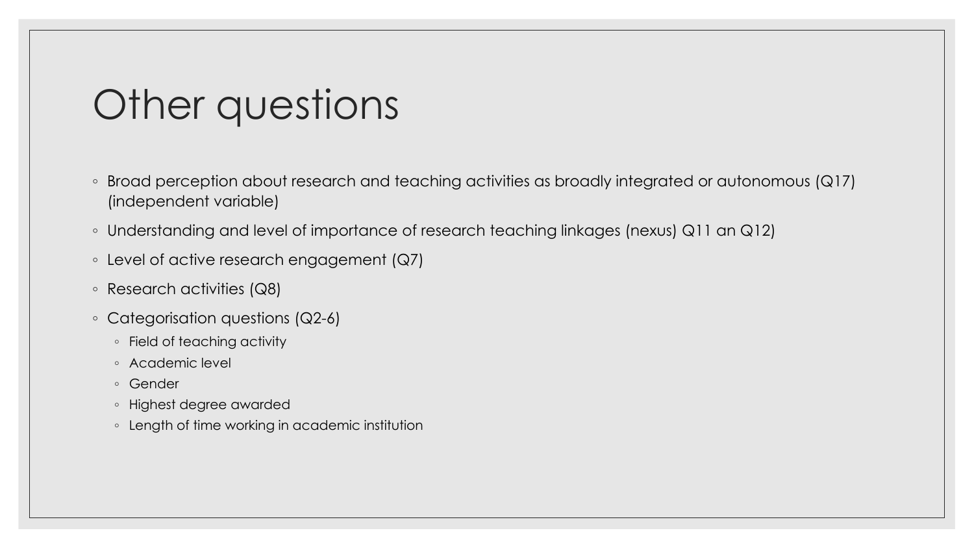#### Other questions

- Broad perception about research and teaching activities as broadly integrated or autonomous (Q17) (independent variable)
- Understanding and level of importance of research teaching linkages (nexus) Q11 an Q12)
- Level of active research engagement (Q7)
- Research activities (Q8)
- Categorisation questions (Q2-6)
	- Field of teaching activity
	- Academic level
	- Gender
	- Highest degree awarded
	- Length of time working in academic institution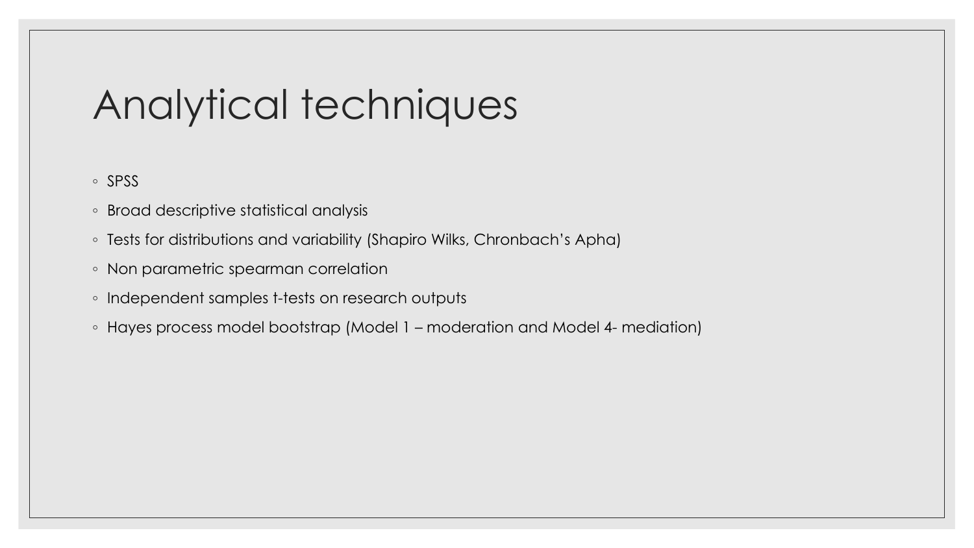#### Analytical techniques

◦ SPSS

- Broad descriptive statistical analysis
- Tests for distributions and variability (Shapiro Wilks, Chronbach's Apha)
- Non parametric spearman correlation
- Independent samples t-tests on research outputs
- Hayes process model bootstrap (Model 1 moderation and Model 4- mediation)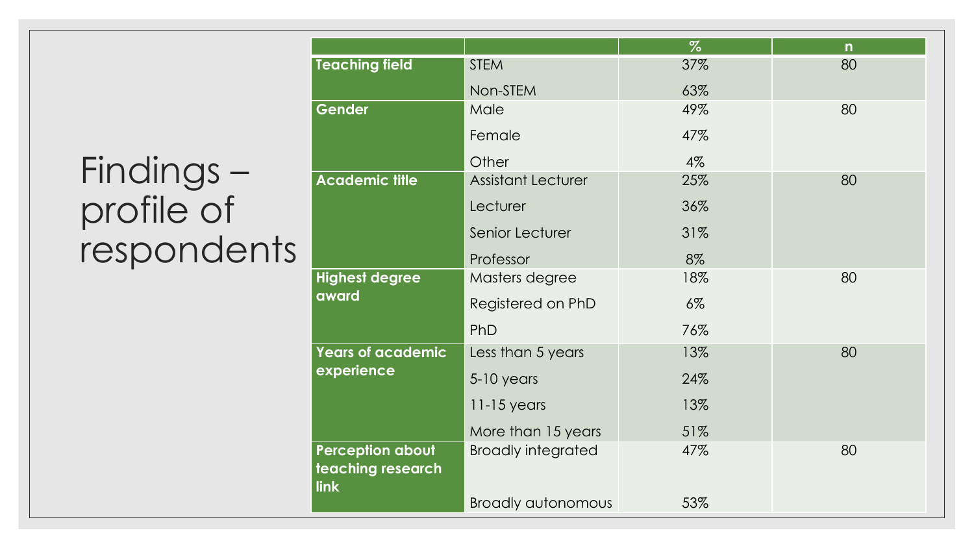#### Findings – profile of respondents

|                                                      |                           | $\%$  | $\mathsf{n}$ |  |
|------------------------------------------------------|---------------------------|-------|--------------|--|
| <b>Teaching field</b>                                | <b>STEM</b>               | 37%   | 80           |  |
|                                                      | Non-STEM                  | 63%   |              |  |
| Gender                                               | Male                      | 49%   | 80           |  |
|                                                      | Female                    | 47%   |              |  |
|                                                      | Other                     | 4%    |              |  |
| <b>Academic title</b>                                | <b>Assistant Lecturer</b> | 25%   | 80           |  |
|                                                      | Lecturer                  | 36%   |              |  |
|                                                      | Senior Lecturer           | 31%   |              |  |
|                                                      | Professor                 | 8%    |              |  |
| <b>Highest degree</b>                                | Masters degree            | 18%   | 80           |  |
| award                                                | Registered on PhD         | $6\%$ |              |  |
|                                                      | PhD                       | 76%   |              |  |
| <b>Years of academic</b>                             | Less than 5 years         | 13%   | 80           |  |
| experience                                           | $5-10$ years              | 24%   |              |  |
|                                                      | $11-15$ years             | 13%   |              |  |
|                                                      | More than 15 years        | 51%   |              |  |
| <b>Perception about</b><br>teaching research<br>link | <b>Broadly integrated</b> | 47%   | 80           |  |
|                                                      | <b>Broadly autonomous</b> | 53%   |              |  |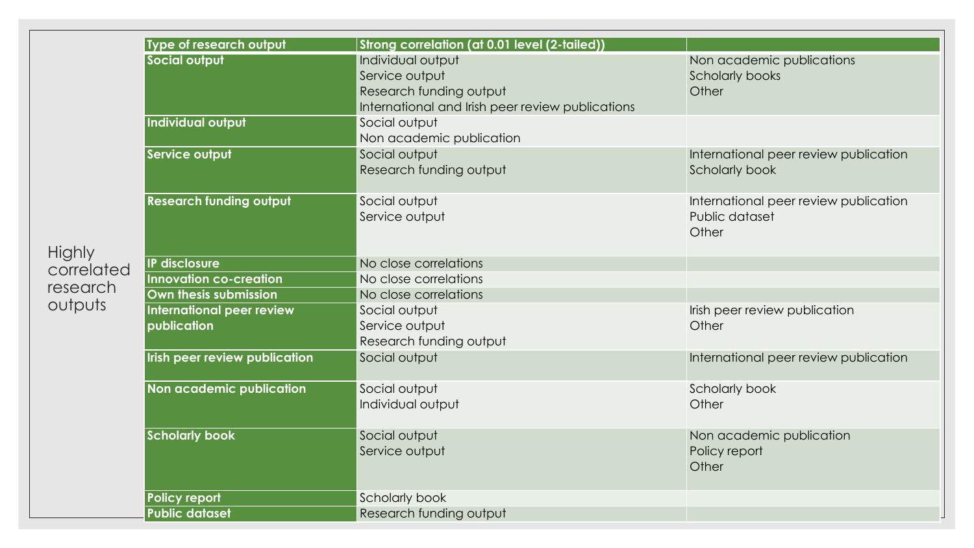|                        | Type of research output        | Strong correlation (at 0.01 level (2-tailed))    |                                       |
|------------------------|--------------------------------|--------------------------------------------------|---------------------------------------|
|                        | Social output                  | Individual output                                | Non academic publications             |
|                        |                                | Service output                                   | <b>Scholarly books</b>                |
|                        |                                | Research funding output                          | Other                                 |
|                        |                                | International and Irish peer review publications |                                       |
|                        | Individual output              | Social output                                    |                                       |
|                        |                                | Non academic publication                         |                                       |
|                        | Service output                 | Social output                                    | International peer review publication |
|                        |                                | Research funding output                          | <b>Scholarly book</b>                 |
|                        | <b>Research funding output</b> | Social output                                    | International peer review publication |
|                        |                                | Service output                                   | Public dataset<br>Other               |
| <b>Highly</b>          | IP disclosure                  | No close correlations                            |                                       |
| correlated<br>research | <b>Innovation co-creation</b>  | No close correlations                            |                                       |
|                        | Own thesis submission          | No close correlations                            |                                       |
| outputs                | International peer review      | Social output                                    | Irish peer review publication         |
|                        | publication                    | Service output                                   | Other                                 |
|                        |                                | Research funding output                          |                                       |
|                        | Irish peer review publication  | Social output                                    | International peer review publication |
|                        | Non academic publication       | Social output                                    | Scholarly book                        |
|                        |                                | Individual output                                | Other                                 |
|                        | <b>Scholarly book</b>          | Social output                                    | Non academic publication              |
|                        |                                | Service output                                   | Policy report<br>Other                |
|                        | <b>Policy report</b>           | Scholarly book                                   |                                       |
|                        | <b>Public dataset</b>          | Research funding output                          |                                       |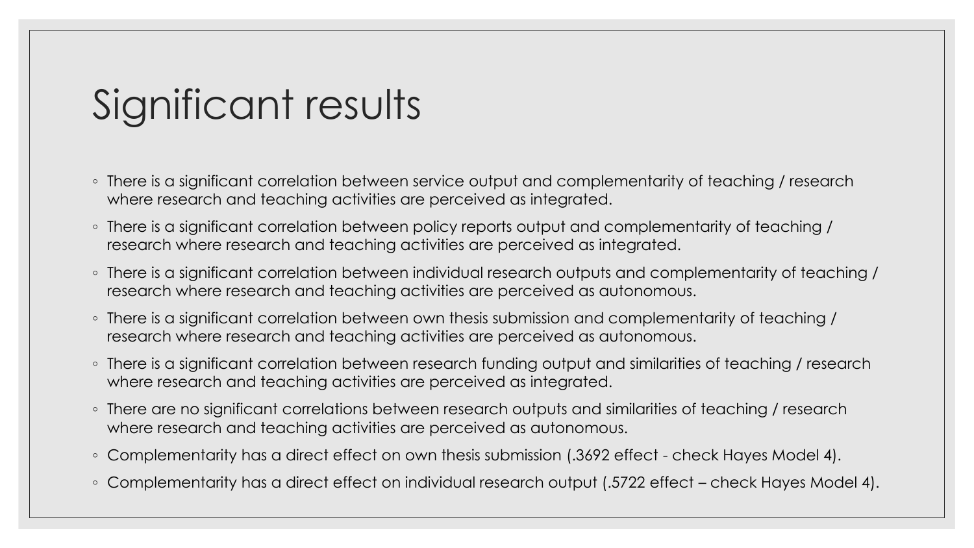### Significant results

- There is a significant correlation between service output and complementarity of teaching / research where research and teaching activities are perceived as integrated.
- There is a significant correlation between policy reports output and complementarity of teaching / research where research and teaching activities are perceived as integrated.
- There is a significant correlation between individual research outputs and complementarity of teaching / research where research and teaching activities are perceived as autonomous.
- There is a significant correlation between own thesis submission and complementarity of teaching / research where research and teaching activities are perceived as autonomous.
- There is a significant correlation between research funding output and similarities of teaching / research where research and teaching activities are perceived as integrated.
- There are no significant correlations between research outputs and similarities of teaching / research where research and teaching activities are perceived as autonomous.
- Complementarity has a direct effect on own thesis submission (.3692 effect check Hayes Model 4).
- Complementarity has a direct effect on individual research output (.5722 effect check Hayes Model 4).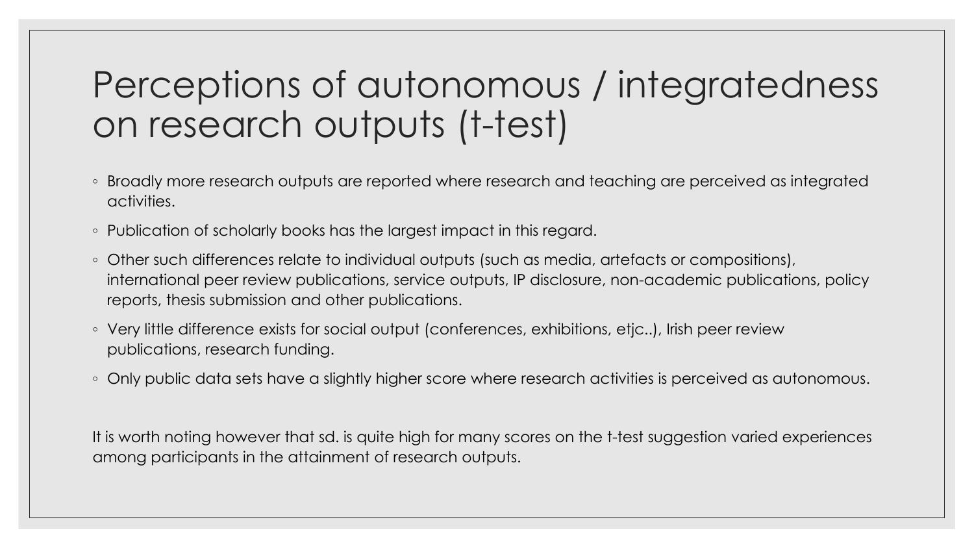#### Perceptions of autonomous / integratedness on research outputs (t-test)

- Broadly more research outputs are reported where research and teaching are perceived as integrated activities.
- Publication of scholarly books has the largest impact in this regard.
- Other such differences relate to individual outputs (such as media, artefacts or compositions), international peer review publications, service outputs, IP disclosure, non-academic publications, policy reports, thesis submission and other publications.
- Very little difference exists for social output (conferences, exhibitions, etjc..), Irish peer review publications, research funding.
- Only public data sets have a slightly higher score where research activities is perceived as autonomous.

It is worth noting however that sd. is quite high for many scores on the t-test suggestion varied experiences among participants in the attainment of research outputs.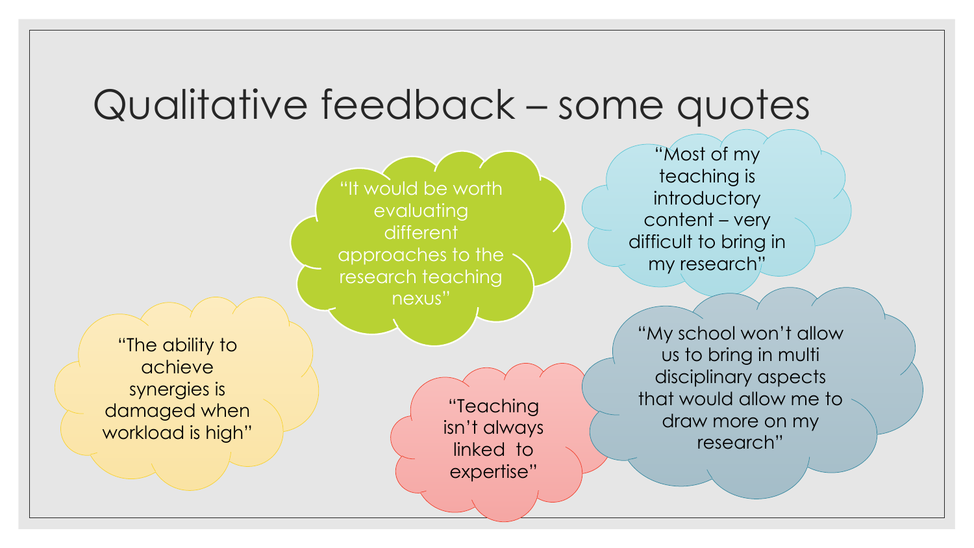#### Qualitative feedback – some quotes

"It would be worth evaluating different approaches to the research teaching nexus"

"The ability to achieve synergies is damaged when workload is high"

"Teaching isn't always linked to expertise"

"Most of my teaching is introductory content – very difficult to bring in my research"

"My school won't allow us to bring in multi disciplinary aspects that would allow me to draw more on my research"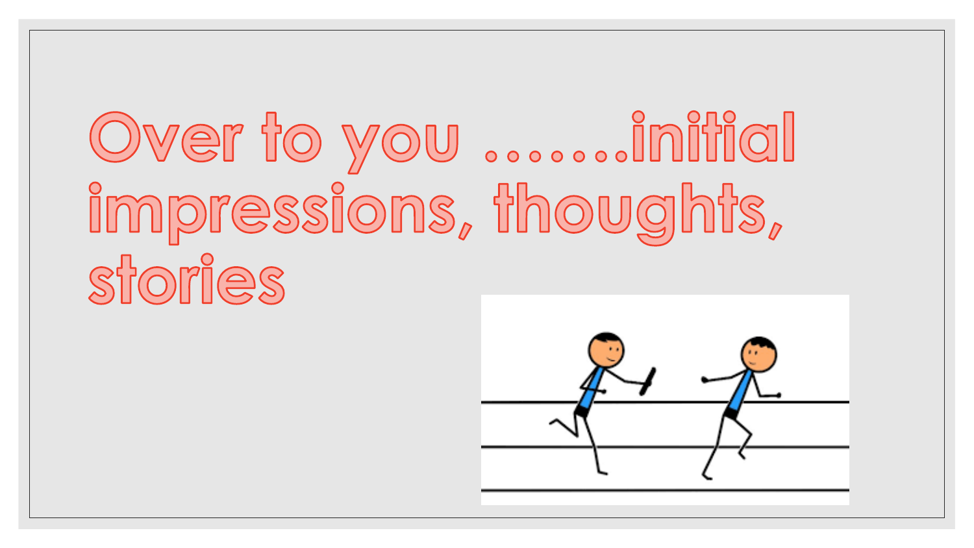## Over to you ......initial impressions, thoughts, sforles

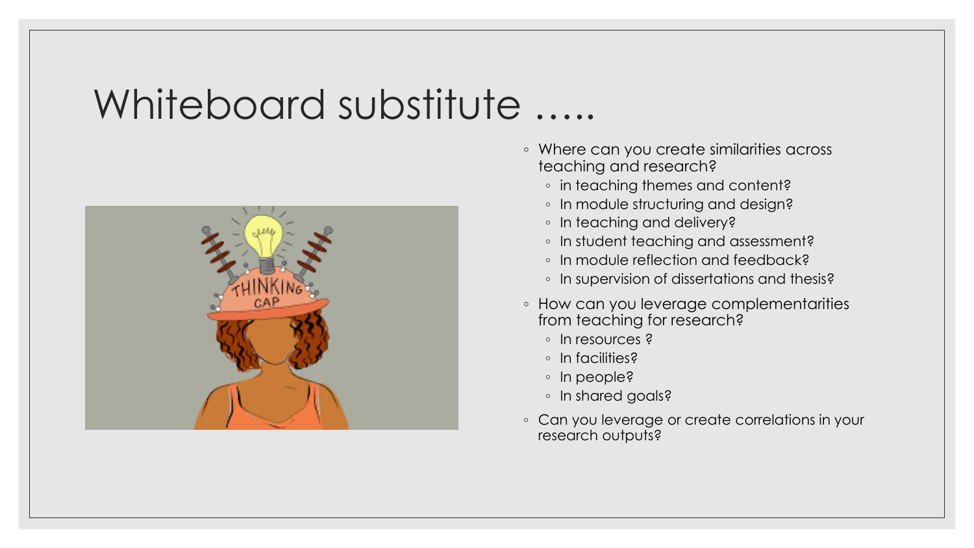#### Whiteboard substitute …..



- Where can you create similarities across teaching and research?
	- in teaching themes and content?
	- In module structuring and design?
	- In teaching and delivery?
	- In student teaching and assessment?
	- In module reflection and feedback?
	- In supervision of dissertations and thesis?
- How can you leverage complementarities from teaching for research?
	- In resources ?
	- In facilities?
	- In people?
	- In shared goals?
- Can you leverage or create correlations in your research outputs?